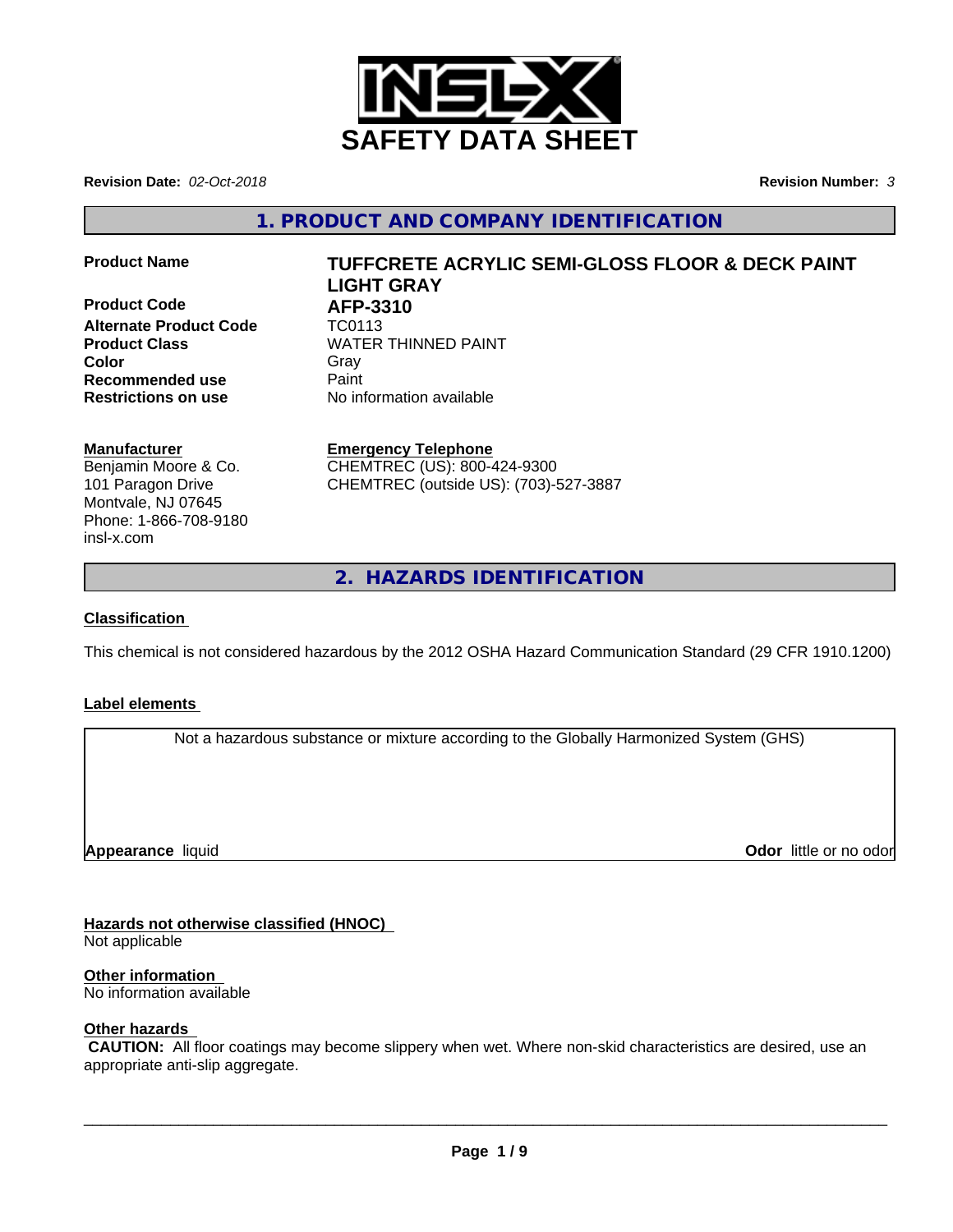

**Revision Date:** *02-Oct-2018* **Revision Number:** *3*

**1. PRODUCT AND COMPANY IDENTIFICATION**

**Product Code 61 AFP-3310**<br>Alternate Product Code 61 TC0113 **Alternate Product Code Recommended use** Paint **Restrictions on use** No information available

# **Product Name TUFFCRETE ACRYLIC SEMI-GLOSS FLOOR & DECK PAINT LIGHT GRAY**

**Product Class WATER THINNED PAINT Color** Gray Gray

# **Manufacturer**

Benjamin Moore & Co. 101 Paragon Drive Montvale, NJ 07645 Phone: 1-866-708-9180 insl-x.com

**Emergency Telephone** CHEMTREC (US): 800-424-9300 CHEMTREC (outside US): (703)-527-3887

**2. HAZARDS IDENTIFICATION**

# **Classification**

This chemical is not considered hazardous by the 2012 OSHA Hazard Communication Standard (29 CFR 1910.1200)

# **Label elements**

Not a hazardous substance or mixture according to the Globally Harmonized System (GHS)

**Appearance** liquid

**Odor** little or no odor

# **Hazards not otherwise classified (HNOC)**

Not applicable

# **Other information**

No information available

# **Other hazards**

 **CAUTION:** All floor coatings may become slippery when wet. Where non-skid characteristics are desired, use an appropriate anti-slip aggregate.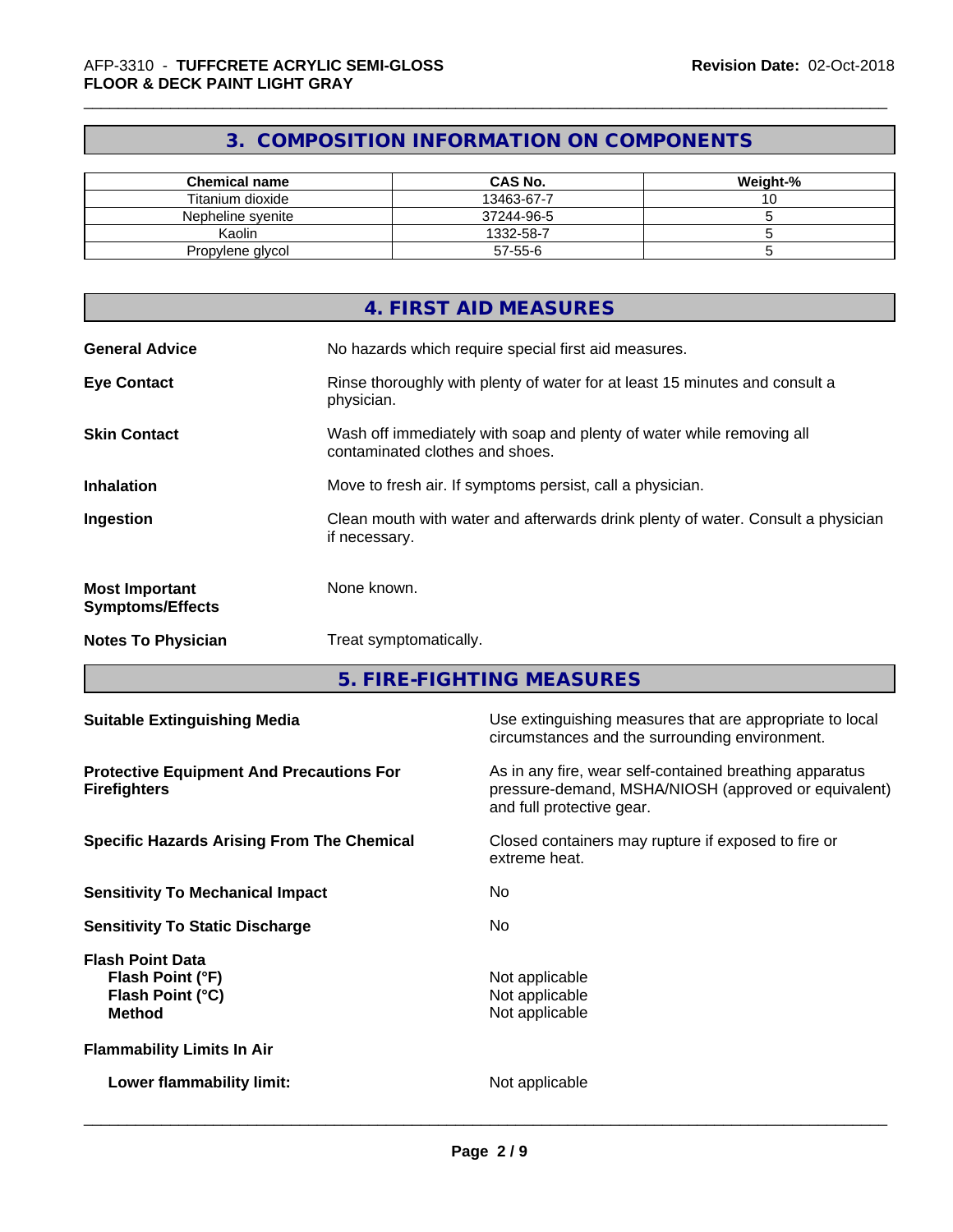# **3. COMPOSITION INFORMATION ON COMPONENTS**

| <b>Chemical name</b> | <b>CAS No.</b> | Weight-% |
|----------------------|----------------|----------|
| Titanium dioxide     | 13463-67-7     | ັ        |
| Nepheline svenite    | 37244-96-5     |          |
| Kaolin               | 1332-58-7      |          |
| Propylene glycol     | 57-55-6        |          |

|                                                  | 4. FIRST AID MEASURES                                                                                    |
|--------------------------------------------------|----------------------------------------------------------------------------------------------------------|
| <b>General Advice</b>                            | No hazards which require special first aid measures.                                                     |
| <b>Eye Contact</b>                               | Rinse thoroughly with plenty of water for at least 15 minutes and consult a<br>physician.                |
| <b>Skin Contact</b>                              | Wash off immediately with soap and plenty of water while removing all<br>contaminated clothes and shoes. |
| <b>Inhalation</b>                                | Move to fresh air. If symptoms persist, call a physician.                                                |
| Ingestion                                        | Clean mouth with water and afterwards drink plenty of water. Consult a physician<br>if necessary.        |
| <b>Most Important</b><br><b>Symptoms/Effects</b> | None known.                                                                                              |
| <b>Notes To Physician</b>                        | Treat symptomatically.                                                                                   |

**5. FIRE-FIGHTING MEASURES**

| <b>Suitable Extinguishing Media</b>                                              | Use extinguishing measures that are appropriate to local<br>circumstances and the surrounding environment.                                   |
|----------------------------------------------------------------------------------|----------------------------------------------------------------------------------------------------------------------------------------------|
| <b>Protective Equipment And Precautions For</b><br><b>Firefighters</b>           | As in any fire, wear self-contained breathing apparatus<br>pressure-demand, MSHA/NIOSH (approved or equivalent)<br>and full protective gear. |
| <b>Specific Hazards Arising From The Chemical</b>                                | Closed containers may rupture if exposed to fire or<br>extreme heat.                                                                         |
| <b>Sensitivity To Mechanical Impact</b>                                          | No.                                                                                                                                          |
| <b>Sensitivity To Static Discharge</b>                                           | No.                                                                                                                                          |
| <b>Flash Point Data</b><br>Flash Point (°F)<br>Flash Point (°C)<br><b>Method</b> | Not applicable<br>Not applicable<br>Not applicable                                                                                           |
| <b>Flammability Limits In Air</b>                                                |                                                                                                                                              |
| Lower flammability limit:                                                        | Not applicable                                                                                                                               |
|                                                                                  |                                                                                                                                              |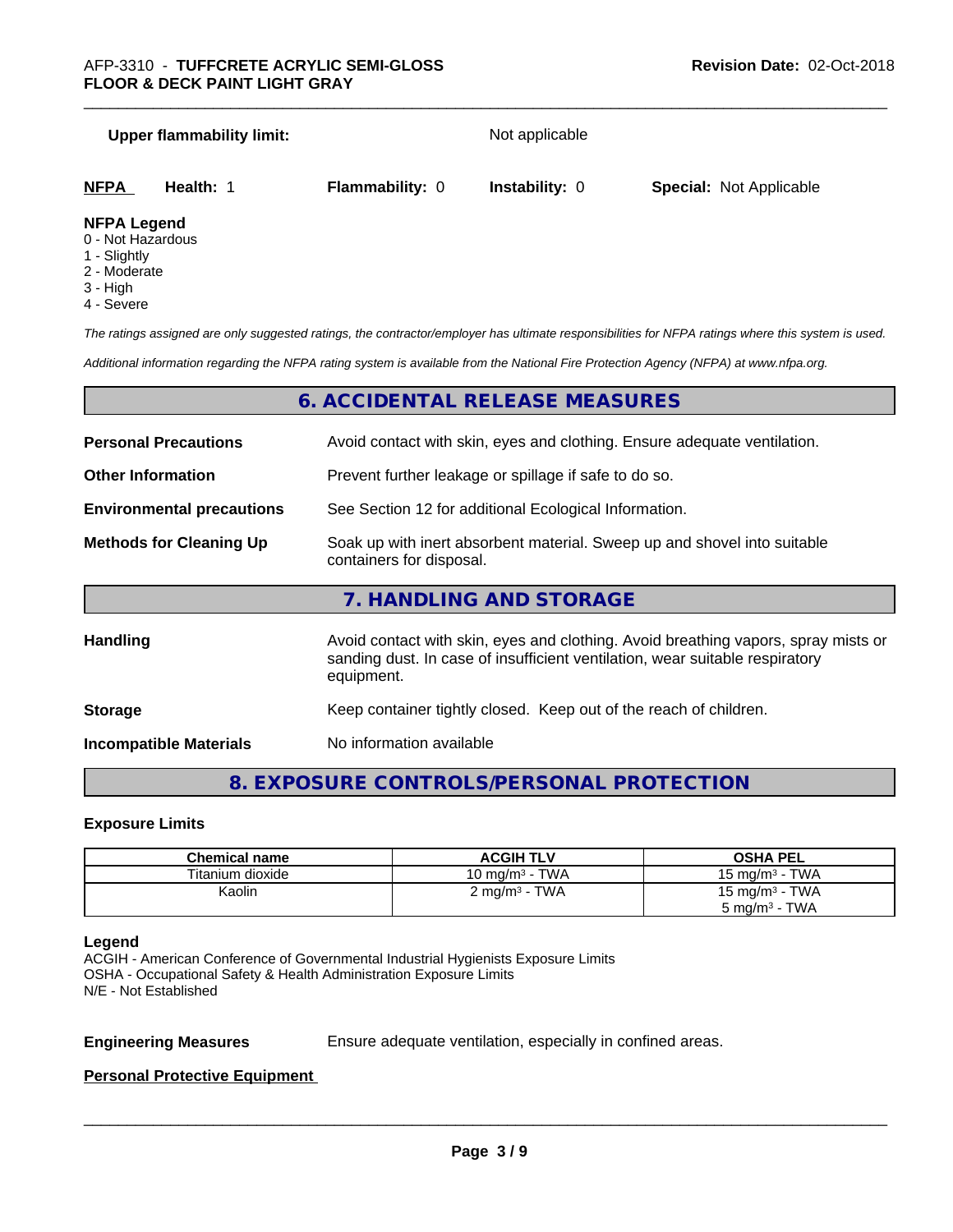#### **Upper flammability limit:** Not applicable

| <b>NFPA</b> | Health: | <b>Flammability: 0</b> | <b>Instability: 0</b> | <b>Special: Not Applicable</b> |  |
|-------------|---------|------------------------|-----------------------|--------------------------------|--|
| _ _ _ _ _ _ |         |                        |                       |                                |  |

#### **NFPA Legend**

- 0 Not Hazardous
- 1 Slightly
- 2 Moderate
- 3 High
- 4 Severe

*The ratings assigned are only suggested ratings, the contractor/employer has ultimate responsibilities for NFPA ratings where this system is used.*

*Additional information regarding the NFPA rating system is available from the National Fire Protection Agency (NFPA) at www.nfpa.org.*

# **6. ACCIDENTAL RELEASE MEASURES**

| <b>Personal Precautions</b>      | Avoid contact with skin, eyes and clothing. Ensure adequate ventilation.                                                                                                         |
|----------------------------------|----------------------------------------------------------------------------------------------------------------------------------------------------------------------------------|
| <b>Other Information</b>         | Prevent further leakage or spillage if safe to do so.                                                                                                                            |
| <b>Environmental precautions</b> | See Section 12 for additional Ecological Information.                                                                                                                            |
| <b>Methods for Cleaning Up</b>   | Soak up with inert absorbent material. Sweep up and shovel into suitable<br>containers for disposal.                                                                             |
|                                  | 7. HANDLING AND STORAGE                                                                                                                                                          |
| <b>Handling</b>                  | Avoid contact with skin, eyes and clothing. Avoid breathing vapors, spray mists or<br>sanding dust. In case of insufficient ventilation, wear suitable respiratory<br>equipment. |
|                                  |                                                                                                                                                                                  |

**Storage Storage Keep container tightly closed. Keep out of the reach of children.** 

**Incompatible Materials** No information available

# **8. EXPOSURE CONTROLS/PERSONAL PROTECTION**

#### **Exposure Limits**

| <b>Chemical name</b> | <b>ACGIH TLV</b>          | <b>OSHA PEL</b>                   |
|----------------------|---------------------------|-----------------------------------|
| Titanium dioxide     | 10 mg/m $3$ - TWA         | - TWA<br>15 mg/m <sup>3</sup> - 1 |
| Kaolin               | 2 mg/m <sup>3</sup> - TWA | 15 mg/m $3$ - TWA                 |
|                      |                           | . TWA<br>5 mg/m <sup>3</sup> -    |

#### **Legend**

ACGIH - American Conference of Governmental Industrial Hygienists Exposure Limits OSHA - Occupational Safety & Health Administration Exposure Limits N/E - Not Established

**Engineering Measures** Ensure adequate ventilation, especially in confined areas.

 $\overline{\phantom{a}}$  ,  $\overline{\phantom{a}}$  ,  $\overline{\phantom{a}}$  ,  $\overline{\phantom{a}}$  ,  $\overline{\phantom{a}}$  ,  $\overline{\phantom{a}}$  ,  $\overline{\phantom{a}}$  ,  $\overline{\phantom{a}}$  ,  $\overline{\phantom{a}}$  ,  $\overline{\phantom{a}}$  ,  $\overline{\phantom{a}}$  ,  $\overline{\phantom{a}}$  ,  $\overline{\phantom{a}}$  ,  $\overline{\phantom{a}}$  ,  $\overline{\phantom{a}}$  ,  $\overline{\phantom{a}}$ 

### **Personal Protective Equipment**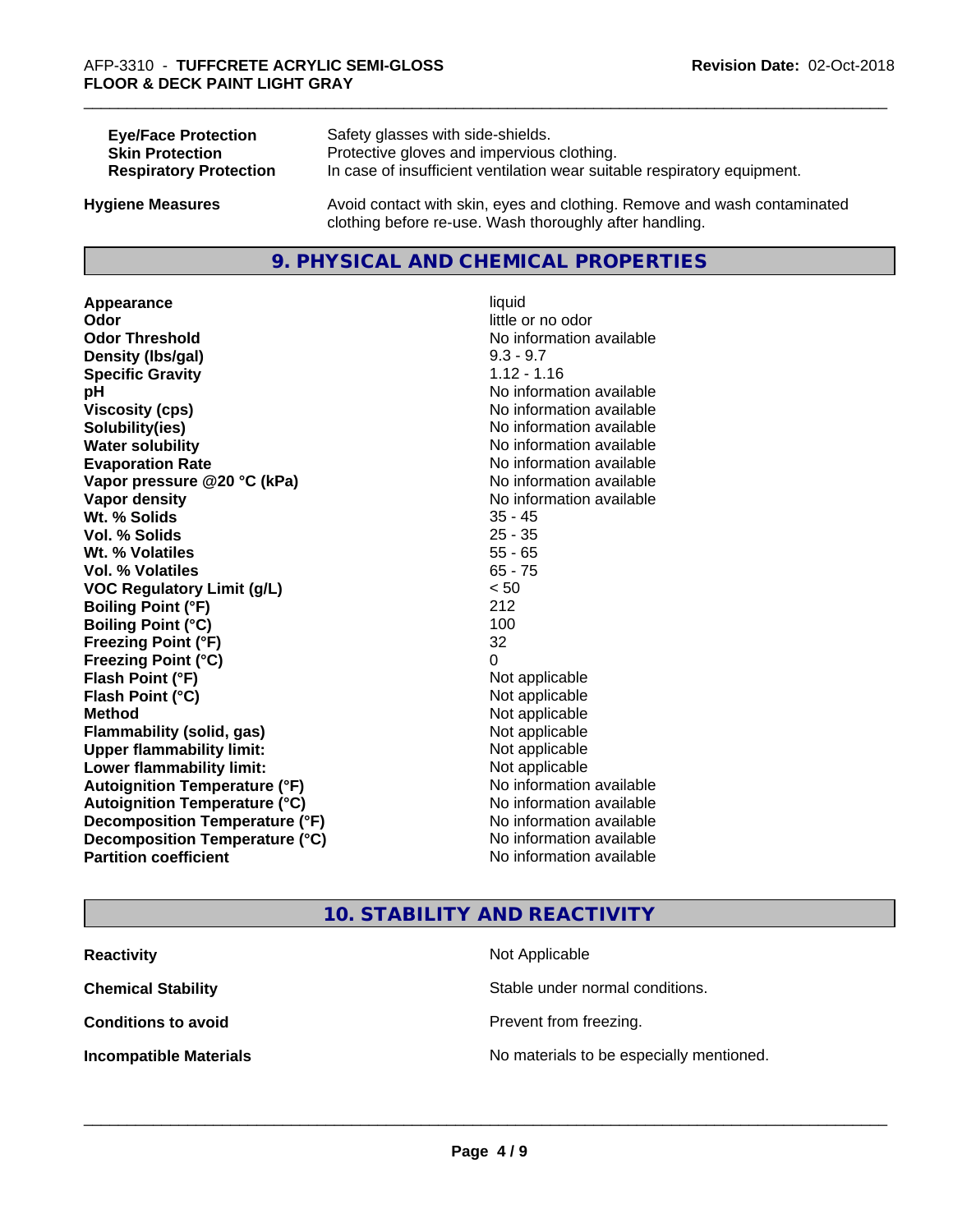| <b>Eye/Face Protection</b>    | Safety glasses with side-shields.                                        |
|-------------------------------|--------------------------------------------------------------------------|
| <b>Skin Protection</b>        | Protective gloves and impervious clothing.                               |
| <b>Respiratory Protection</b> | In case of insufficient ventilation wear suitable respiratory equipment. |
| <b>Hygiene Measures</b>       | Avoid contact with skin, eyes and clothing. Remove and wash contaminated |

# **9. PHYSICAL AND CHEMICAL PROPERTIES**

clothing before re-use. Wash thoroughly after handling.

**Appearance** liquid **Odor** little or no odor **Odor Threshold**<br> **Density (Ibs/aal)**<br> **Density (Ibs/aal)**<br> **Density (Ibs/aal)**<br> **Density (Ibs/aal) Density (lbs/gal) Specific Gravity** 1.12 - 1.16 **pH** No information available **Viscosity (cps)** No information available **Solubility(ies)** No information available **Water solubility Water solubility Water solubility Water solubility Water solubility Water solution Evaporation Rate No information available No information available Vapor pressure @20 °C (kPa)** No information available **Vapor density No information available Wt. % Solids** 35 - 45 **Vol. % Solids Wt. % Volatiles** 55 - 65 **Vol. % Volatiles** 65 - 75 **VOC Regulatory Limit (g/L)** < 50 **Boiling Point (°F)** 212 **Boiling Point**  $(^{\circ}C)$  100 **Freezing Point (°F)** 32 **Freezing Point (°C)** 0 **Flash Point (°F)** Not applicable **Flash Point (°C)** Not applicable **Method** Not applicable **Flammability (solid, gas)** Not applicable **Upper flammability limit:** Not applicable **Lower flammability limit:** Not applicable **Autoignition Temperature (°F)** No information available **Autoignition Temperature (°C)** No information available **Decomposition Temperature (°F)**<br> **Decomposition Temperature (°C)**<br>
No information available **Decomposition Temperature (°C)**<br>Partition coefficient

**No information available** 

# **10. STABILITY AND REACTIVITY**

| <b>Reactivity</b>             | Not Applicable                           |
|-------------------------------|------------------------------------------|
| <b>Chemical Stability</b>     | Stable under normal conditions.          |
| <b>Conditions to avoid</b>    | Prevent from freezing.                   |
| <b>Incompatible Materials</b> | No materials to be especially mentioned. |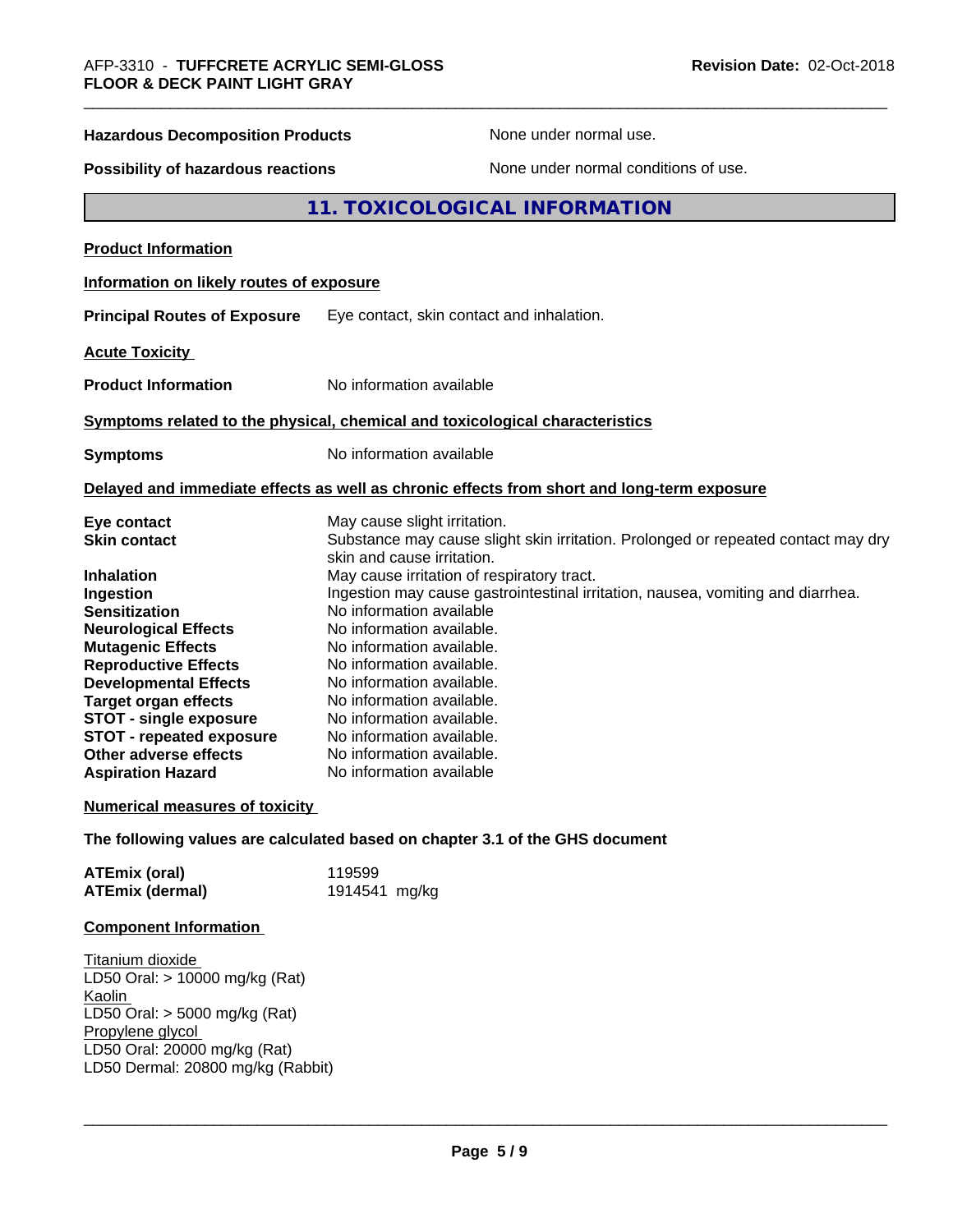| <b>Hazardous Decomposition Products</b>                                                                                                                                                                                                               | None under normal use.                                                                                                                                                                                                                                                                                                                                                                                                                                                                     |  |
|-------------------------------------------------------------------------------------------------------------------------------------------------------------------------------------------------------------------------------------------------------|--------------------------------------------------------------------------------------------------------------------------------------------------------------------------------------------------------------------------------------------------------------------------------------------------------------------------------------------------------------------------------------------------------------------------------------------------------------------------------------------|--|
| None under normal conditions of use.<br>Possibility of hazardous reactions                                                                                                                                                                            |                                                                                                                                                                                                                                                                                                                                                                                                                                                                                            |  |
|                                                                                                                                                                                                                                                       | 11. TOXICOLOGICAL INFORMATION                                                                                                                                                                                                                                                                                                                                                                                                                                                              |  |
| <b>Product Information</b>                                                                                                                                                                                                                            |                                                                                                                                                                                                                                                                                                                                                                                                                                                                                            |  |
| Information on likely routes of exposure                                                                                                                                                                                                              |                                                                                                                                                                                                                                                                                                                                                                                                                                                                                            |  |
| <b>Principal Routes of Exposure</b>                                                                                                                                                                                                                   | Eye contact, skin contact and inhalation.                                                                                                                                                                                                                                                                                                                                                                                                                                                  |  |
| <b>Acute Toxicity</b>                                                                                                                                                                                                                                 |                                                                                                                                                                                                                                                                                                                                                                                                                                                                                            |  |
| <b>Product Information</b>                                                                                                                                                                                                                            | No information available                                                                                                                                                                                                                                                                                                                                                                                                                                                                   |  |
|                                                                                                                                                                                                                                                       | Symptoms related to the physical, chemical and toxicological characteristics                                                                                                                                                                                                                                                                                                                                                                                                               |  |
| <b>Symptoms</b>                                                                                                                                                                                                                                       | No information available                                                                                                                                                                                                                                                                                                                                                                                                                                                                   |  |
|                                                                                                                                                                                                                                                       | Delayed and immediate effects as well as chronic effects from short and long-term exposure                                                                                                                                                                                                                                                                                                                                                                                                 |  |
| Eye contact<br><b>Skin contact</b><br><b>Inhalation</b><br>Ingestion<br><b>Sensitization</b><br><b>Neurological Effects</b><br><b>Mutagenic Effects</b><br><b>Reproductive Effects</b><br><b>Developmental Effects</b><br><b>Target organ effects</b> | May cause slight irritation.<br>Substance may cause slight skin irritation. Prolonged or repeated contact may dry<br>skin and cause irritation.<br>May cause irritation of respiratory tract.<br>Ingestion may cause gastrointestinal irritation, nausea, vomiting and diarrhea.<br>No information available<br>No information available.<br>No information available.<br>No information available.<br>No information available.<br>No information available.<br>No information available. |  |
| <b>STOT - single exposure</b><br><b>STOT - repeated exposure</b><br>Other adverse effects<br><b>Aspiration Hazard</b>                                                                                                                                 | No information available.<br>No information available.<br>No information available                                                                                                                                                                                                                                                                                                                                                                                                         |  |
| <b>Numerical measures of toxicity</b>                                                                                                                                                                                                                 |                                                                                                                                                                                                                                                                                                                                                                                                                                                                                            |  |
|                                                                                                                                                                                                                                                       | The following values are calculated based on chapter 3.1 of the GHS document                                                                                                                                                                                                                                                                                                                                                                                                               |  |
| <b>ATEmix (oral)</b><br><b>ATEmix (dermal)</b>                                                                                                                                                                                                        | 119599<br>1914541 mg/kg                                                                                                                                                                                                                                                                                                                                                                                                                                                                    |  |
| <b>Component Information</b>                                                                                                                                                                                                                          |                                                                                                                                                                                                                                                                                                                                                                                                                                                                                            |  |

Titanium dioxide LD50 Oral: > 10000 mg/kg (Rat) Kaolin LD50 Oral: > 5000 mg/kg (Rat) Propylene glycol LD50 Oral: 20000 mg/kg (Rat) LD50 Dermal: 20800 mg/kg (Rabbit)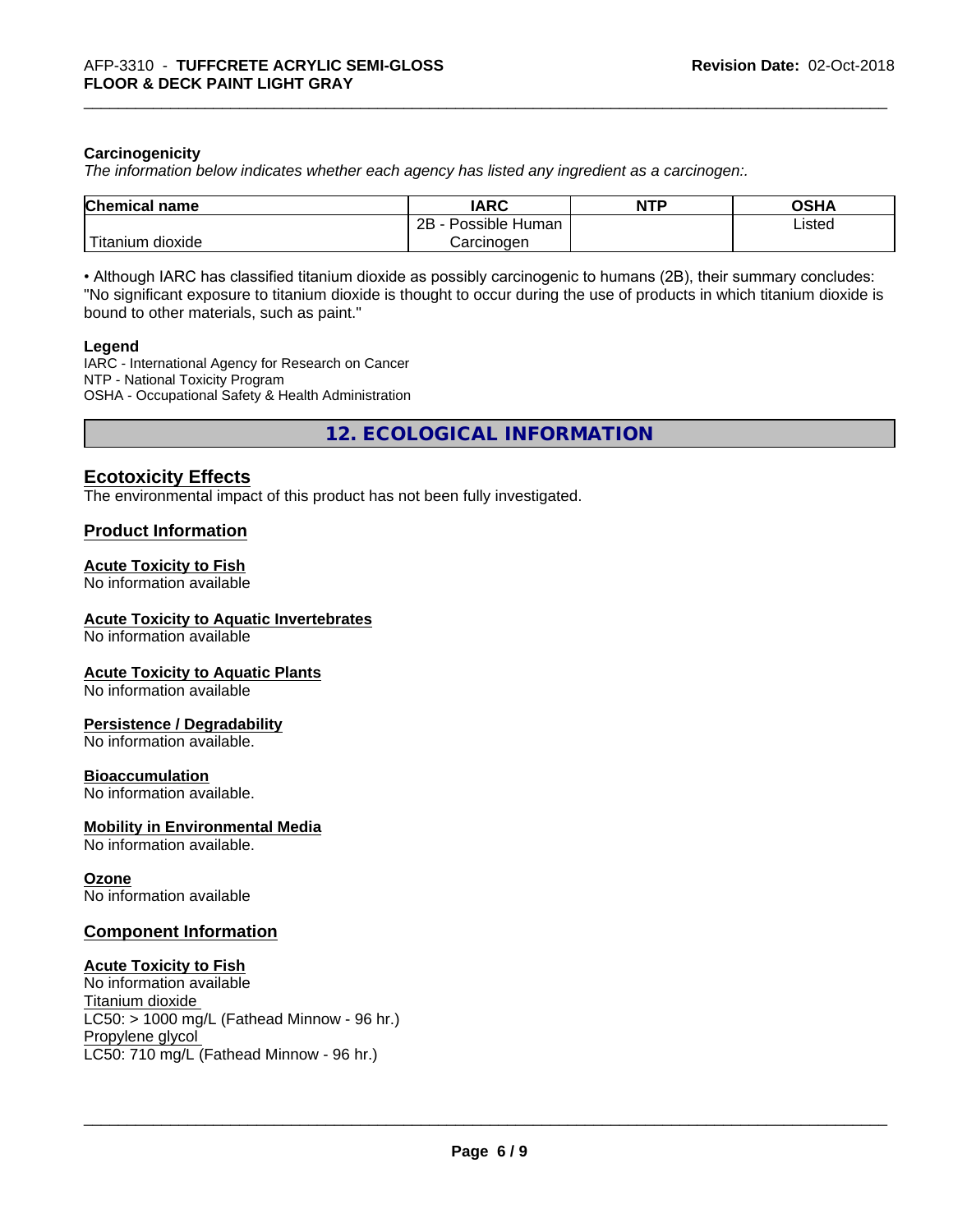## **Carcinogenicity**

*The information below indicateswhether each agency has listed any ingredient as a carcinogen:.*

| <b>Chemical name</b>         | <b>IARC</b>               | <b>NTP</b> | <b>OGHA</b><br>שסט |
|------------------------------|---------------------------|------------|--------------------|
|                              | .<br>2B<br>Possible Human |            | Listed             |
| نت ا<br>dioxide<br>l itanıum | Carcinogen                |            |                    |

• Although IARC has classified titanium dioxide as possibly carcinogenic to humans (2B), their summary concludes: "No significant exposure to titanium dioxide is thought to occur during the use of products in which titanium dioxide is bound to other materials, such as paint."

#### **Legend**

IARC - International Agency for Research on Cancer NTP - National Toxicity Program OSHA - Occupational Safety & Health Administration

**12. ECOLOGICAL INFORMATION**

# **Ecotoxicity Effects**

The environmental impact of this product has not been fully investigated.

## **Product Information**

# **Acute Toxicity to Fish**

No information available

## **Acute Toxicity to Aquatic Invertebrates**

No information available

#### **Acute Toxicity to Aquatic Plants**

No information available

# **Persistence / Degradability**

No information available.

#### **Bioaccumulation**

No information available.

#### **Mobility in Environmental Media**

No information available.

#### **Ozone**

No information available

# **Component Information**

#### **Acute Toxicity to Fish**

No information available Titanium dioxide  $LC50:$  > 1000 mg/L (Fathead Minnow - 96 hr.) Propylene glycol LC50: 710 mg/L (Fathead Minnow - 96 hr.)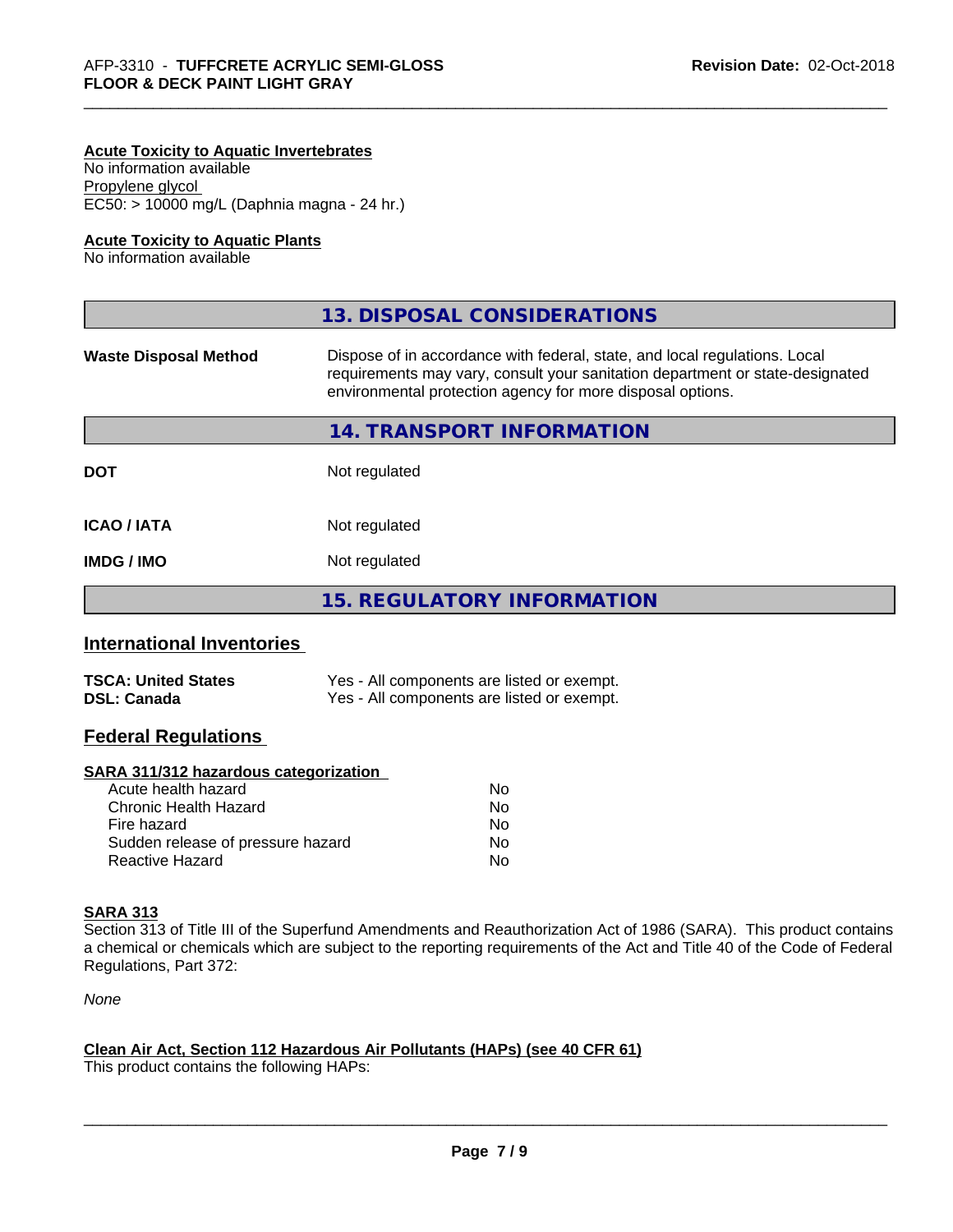## **Acute Toxicity to Aquatic Invertebrates**

No information available Propylene glycol EC50: > 10000 mg/L (Daphnia magna - 24 hr.)

## **Acute Toxicity to Aquatic Plants**

No information available

|                              | 13. DISPOSAL CONSIDERATIONS                                                                                                                                                                                               |
|------------------------------|---------------------------------------------------------------------------------------------------------------------------------------------------------------------------------------------------------------------------|
| <b>Waste Disposal Method</b> | Dispose of in accordance with federal, state, and local regulations. Local<br>requirements may vary, consult your sanitation department or state-designated<br>environmental protection agency for more disposal options. |
|                              | 14. TRANSPORT INFORMATION                                                                                                                                                                                                 |
| <b>DOT</b>                   | Not regulated                                                                                                                                                                                                             |
| <b>ICAO/IATA</b>             | Not regulated                                                                                                                                                                                                             |
| <b>IMDG / IMO</b>            | Not regulated                                                                                                                                                                                                             |
|                              | 15. REGULATORY INFORMATION                                                                                                                                                                                                |

# **International Inventories**

| <b>TSCA: United States</b> | Yes - All components are listed or exempt. |
|----------------------------|--------------------------------------------|
| <b>DSL: Canada</b>         | Yes - All components are listed or exempt. |

# **Federal Regulations**

#### **SARA 311/312 hazardous categorization**

| Acute health hazard               | No |
|-----------------------------------|----|
| Chronic Health Hazard             | No |
| Fire hazard                       | No |
| Sudden release of pressure hazard | Nο |
| Reactive Hazard                   | N٥ |

# **SARA 313**

Section 313 of Title III of the Superfund Amendments and Reauthorization Act of 1986 (SARA). This product contains a chemical or chemicals which are subject to the reporting requirements of the Act and Title 40 of the Code of Federal Regulations, Part 372:

*None*

#### **Clean Air Act,Section 112 Hazardous Air Pollutants (HAPs) (see 40 CFR 61)**

This product contains the following HAPs: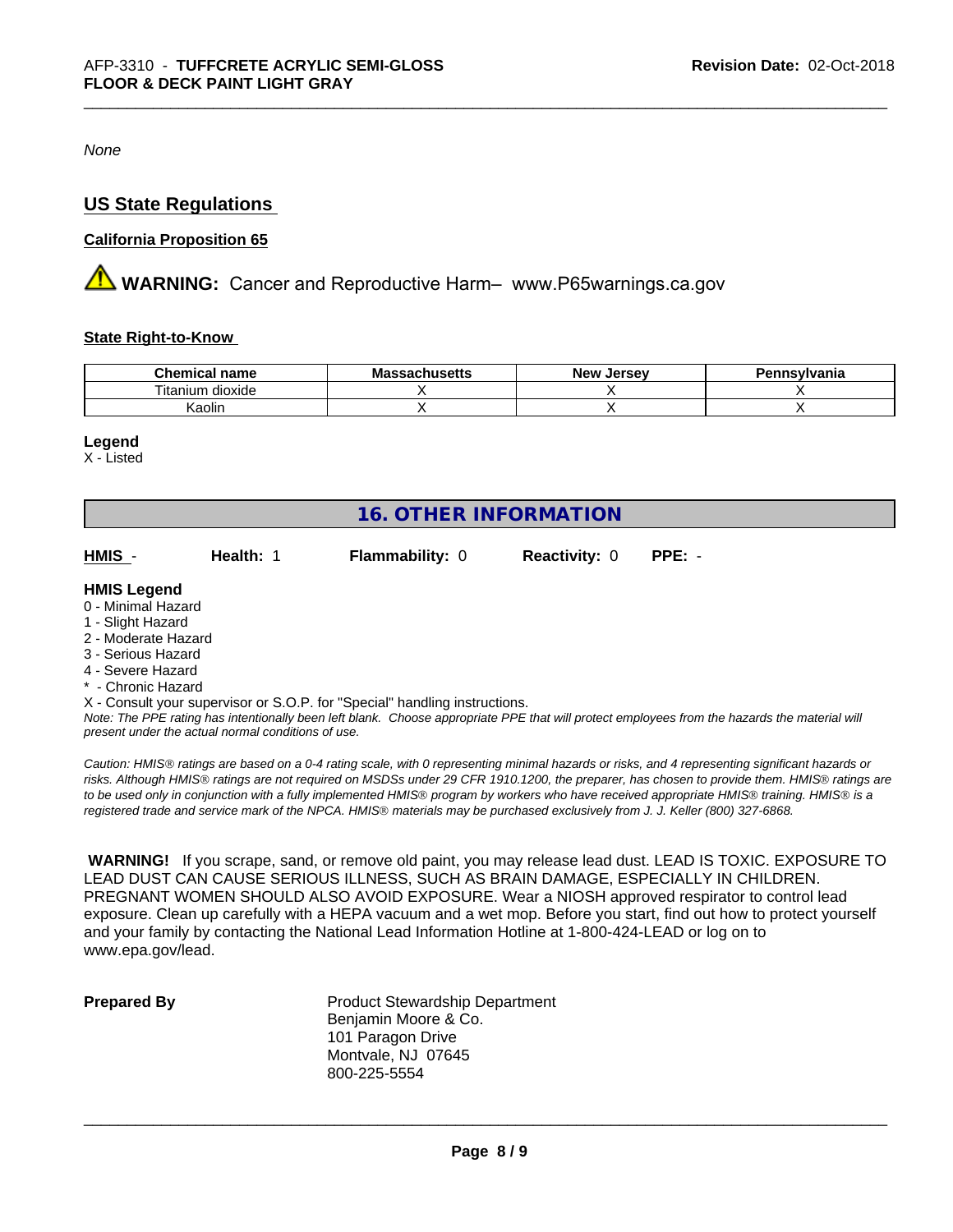*None*

# **US State Regulations**

## **California Proposition 65**

**AVIMARNING:** Cancer and Reproductive Harm– www.P65warnings.ca.gov

#### **State Right-to-Know**

| <b>Chemical</b><br>name                          | IVIA<br>. saul luscits | <b>Jerse</b> v<br><b>Nev</b> | าทรงIvania |
|--------------------------------------------------|------------------------|------------------------------|------------|
| .<br>$- \cdot$<br>dioxide<br>um<br><b>Itanii</b> |                        |                              |            |
| Kaolin                                           |                        |                              |            |

#### **Legend**

X - Listed

| <b>16. OTHER INFORMATION</b> |           |                                                                            |                      |          |  |  |
|------------------------------|-----------|----------------------------------------------------------------------------|----------------------|----------|--|--|
| HMIS -                       | Health: 1 | <b>Flammability: 0</b>                                                     | <b>Reactivity: 0</b> | $PPE: -$ |  |  |
| <b>HMIS Legend</b>           |           |                                                                            |                      |          |  |  |
| 0 - Minimal Hazard           |           |                                                                            |                      |          |  |  |
| 1 - Slight Hazard            |           |                                                                            |                      |          |  |  |
| 2 - Moderate Hazard          |           |                                                                            |                      |          |  |  |
| 3 - Serious Hazard           |           |                                                                            |                      |          |  |  |
| 4 - Severe Hazard            |           |                                                                            |                      |          |  |  |
| * - Chronic Hazard           |           |                                                                            |                      |          |  |  |
|                              |           | X - Consult your supervisor or S.O.P. for "Special" handling instructions. |                      |          |  |  |

*Note: The PPE rating has intentionally been left blank. Choose appropriate PPE that will protect employees from the hazards the material will present under the actual normal conditions of use.*

*Caution: HMISÒ ratings are based on a 0-4 rating scale, with 0 representing minimal hazards or risks, and 4 representing significant hazards or risks. Although HMISÒ ratings are not required on MSDSs under 29 CFR 1910.1200, the preparer, has chosen to provide them. HMISÒ ratings are to be used only in conjunction with a fully implemented HMISÒ program by workers who have received appropriate HMISÒ training. HMISÒ is a registered trade and service mark of the NPCA. HMISÒ materials may be purchased exclusively from J. J. Keller (800) 327-6868.*

 **WARNING!** If you scrape, sand, or remove old paint, you may release lead dust. LEAD IS TOXIC. EXPOSURE TO LEAD DUST CAN CAUSE SERIOUS ILLNESS, SUCH AS BRAIN DAMAGE, ESPECIALLY IN CHILDREN. PREGNANT WOMEN SHOULD ALSO AVOID EXPOSURE.Wear a NIOSH approved respirator to control lead exposure. Clean up carefully with a HEPA vacuum and a wet mop. Before you start, find out how to protect yourself and your family by contacting the National Lead Information Hotline at 1-800-424-LEAD or log on to www.epa.gov/lead.

**Prepared By** Product Stewardship Department Benjamin Moore & Co. 101 Paragon Drive Montvale, NJ 07645 800-225-5554